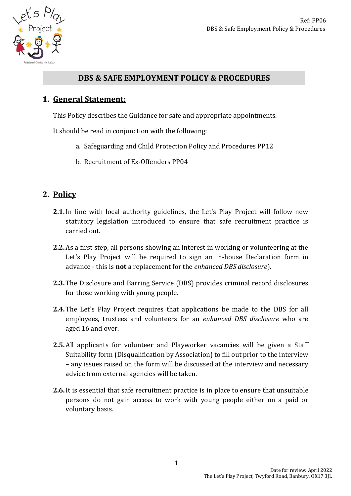

### **DBS & SAFE EMPLOYMENT POLICY & PROCEDURES**

## **1. General Statement:**

This Policy describes the Guidance for safe and appropriate appointments.

It should be read in conjunction with the following:

- a. Safeguarding and Child Protection Policy and Procedures PP12
- b. Recruitment of Ex-Offenders PP04

## **2. Policy**

- **2.1.**In line with local authority guidelines, the Let's Play Project will follow new statutory legislation introduced to ensure that safe recruitment practice is carried out.
- **2.2.** As a first step, all persons showing an interest in working or volunteering at the Let's Play Project will be required to sign an in-house Declaration form in advance - this is **not** a replacement for the *enhanced DBS disclosure*).
- **2.3.** The Disclosure and Barring Service (DBS) provides criminal record disclosures for those working with young people.
- **2.4.** The Let's Play Project requires that applications be made to the DBS for all employees, trustees and volunteers for an *enhanced DBS disclosure* who are aged 16 and over.
- **2.5.** All applicants for volunteer and Playworker vacancies will be given a Staff Suitability form (Disqualification by Association) to fill out prior to the interview – any issues raised on the form will be discussed at the interview and necessary advice from external agencies will be taken.
- **2.6.**It is essential that safe recruitment practice is in place to ensure that unsuitable persons do not gain access to work with young people either on a paid or voluntary basis.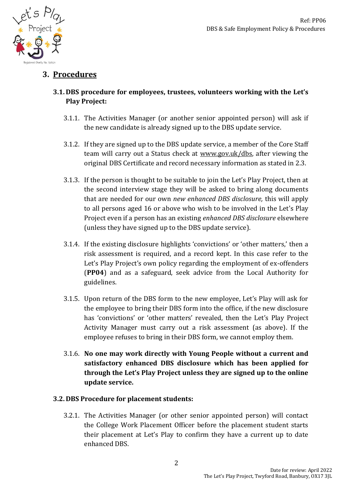

# **3. Procedures**

### **3.1. DBS procedure for employees, trustees, volunteers working with the Let's Play Project:**

- 3.1.1. The Activities Manager (or another senior appointed person) will ask if the new candidate is already signed up to the DBS update service.
- 3.1.2. If they are signed up to the DBS update service, a member of the Core Staff team will carry out a Status check at www.gov.uk/dbs, after viewing the original DBS Certificate and record necessary information as stated in 2.3.
- 3.1.3. If the person is thought to be suitable to join the Let's Play Project, then at the second interview stage they will be asked to bring along documents that are needed for our own *new enhanced DBS disclosure,* this will apply to all persons aged 16 or above who wish to be involved in the Let's Play Project even if a person has an existing *enhanced DBS disclosure* elsewhere (unless they have signed up to the DBS update service).
- 3.1.4. If the existing disclosure highlights 'convictions' or 'other matters,' then a risk assessment is required, and a record kept. In this case refer to the Let's Play Project's own policy regarding the employment of ex-offenders (**PP04**) and as a safeguard, seek advice from the Local Authority for guidelines.
- 3.1.5. Upon return of the DBS form to the new employee, Let's Play will ask for the employee to bring their DBS form into the office, if the new disclosure has 'convictions' or 'other matters' revealed, then the Let's Play Project Activity Manager must carry out a risk assessment (as above). If the employee refuses to bring in their DBS form, we cannot employ them.
- 3.1.6. **No one may work directly with Young People without a current and satisfactory enhanced DBS disclosure which has been applied for through the Let's Play Project unless they are signed up to the online update service.**

#### **3.2. DBS Procedure for placement students:**

3.2.1. The Activities Manager (or other senior appointed person) will contact the College Work Placement Officer before the placement student starts their placement at Let's Play to confirm they have a current up to date enhanced DBS.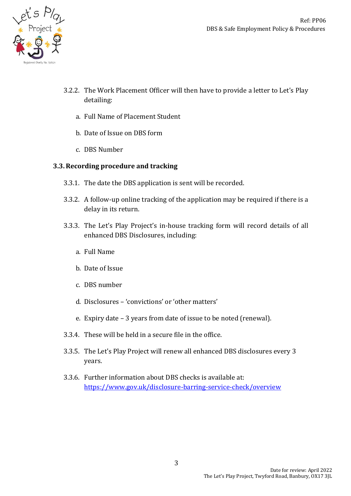

- 3.2.2. The Work Placement Officer will then have to provide a letter to Let's Play detailing:
	- a. Full Name of Placement Student
	- b. Date of Issue on DBS form
	- c. DBS Number

#### **3.3.Recording procedure and tracking**

- 3.3.1. The date the DBS application is sent will be recorded.
- 3.3.2. A follow-up online tracking of the application may be required if there is a delay in its return.
- 3.3.3. The Let's Play Project's in-house tracking form will record details of all enhanced DBS Disclosures, including:
	- a. Full Name
	- b. Date of Issue
	- c. DBS number
	- d. Disclosures 'convictions' or 'other matters'
	- e. Expiry date 3 years from date of issue to be noted (renewal).
- 3.3.4. These will be held in a secure file in the office.
- 3.3.5. The Let's Play Project will renew all enhanced DBS disclosures every 3 years.
- 3.3.6. Further information about DBS checks is available at: <https://www.gov.uk/disclosure-barring-service-check/overview>